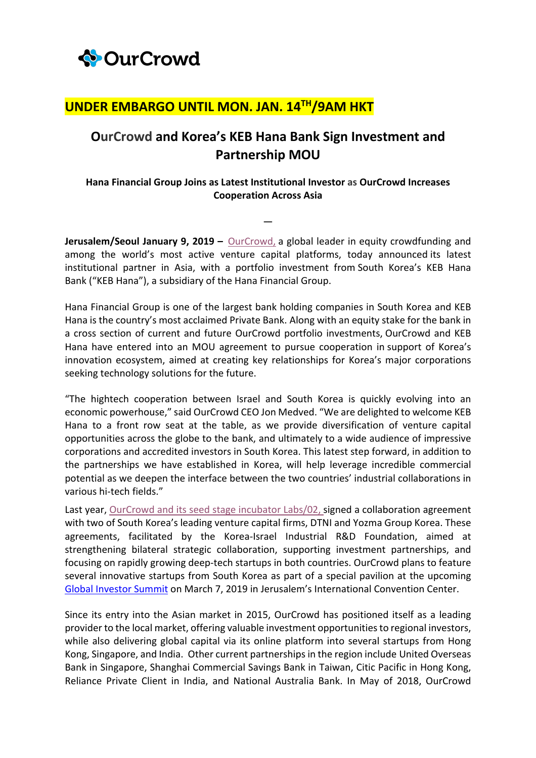

## **UNDER EMBARGO UNTIL MON. JAN. 14TH/9AM HKT**

## **OurCrowd and Korea's KEB Hana Bank Sign Investment and Partnership MOU**

## **Hana Financial Group Joins as Latest Institutional Investor as OurCrowd Increases Cooperation Across Asia**

**—**

**Jerusalem/Seoul January 9, 2019 –** OurCrowd, a global leader in equity crowdfunding and among the world's most active venture capital platforms, today announced its latest institutional partner in Asia, with a portfolio investment from South Korea's KEB Hana Bank ("KEB Hana"), a subsidiary of the Hana Financial Group.

Hana Financial Group is one of the largest bank holding companies in South Korea and KEB Hana is the country's most acclaimed Private Bank. Along with an equity stake for the bank in a cross section of current and future OurCrowd portfolio investments, OurCrowd and KEB Hana have entered into an MOU agreement to pursue cooperation in support of Korea's innovation ecosystem, aimed at creating key relationships for Korea's major corporations seeking technology solutions for the future.

"The hightech cooperation between Israel and South Korea is quickly evolving into an economic powerhouse," said OurCrowd CEO Jon Medved. "We are delighted to welcome KEB Hana to a front row seat at the table, as we provide diversification of venture capital opportunities across the globe to the bank, and ultimately to a wide audience of impressive corporations and accredited investors in South Korea. This latest step forward, in addition to the partnerships we have established in Korea, will help leverage incredible commercial potential as we deepen the interface between the two countries' industrial collaborations in various hi-tech fields."

Last year, OurCrowd and its seed stage incubator Labs/02, signed a collaboration agreement with two of South Korea's leading venture capital firms, DTNI and Yozma Group Korea. These agreements, facilitated by the Korea-Israel Industrial R&D Foundation, aimed at strengthening bilateral strategic collaboration, supporting investment partnerships, and focusing on rapidly growing deep-tech startups in both countries. OurCrowd plans to feature several innovative startups from South Korea as part of a special pavilion at the upcoming Global Investor Summit on March 7, 2019 in Jerusalem's International Convention Center.

Since its entry into the Asian market in 2015, OurCrowd has positioned itself as a leading provider to the local market, offering valuable investment opportunities to regional investors, while also delivering global capital via its online platform into several startups from Hong Kong, Singapore, and India. Other current partnerships in the region include United Overseas Bank in Singapore, Shanghai Commercial Savings Bank in Taiwan, Citic Pacific in Hong Kong, Reliance Private Client in India, and National Australia Bank. In May of 2018, OurCrowd